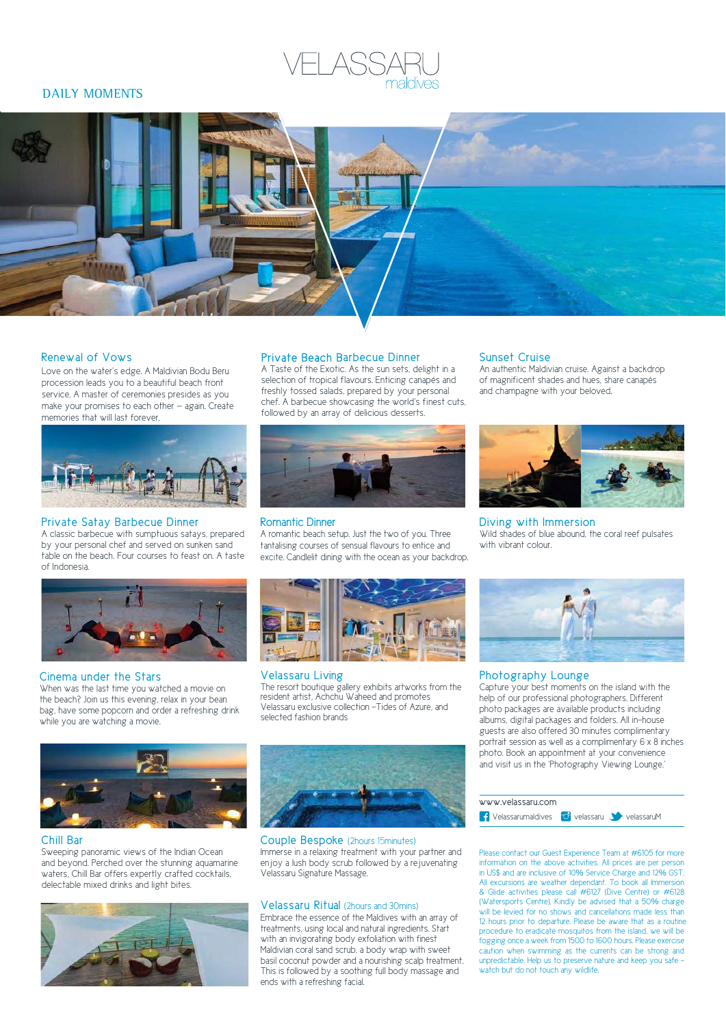# DAILY MOMENTS



# Renewal of Vows

Love on the water's edge. A Maldivian Bodu Beru procession leads you to a beautiful beach front service. A master of ceremonies presides as you make your promises to each other — again. Create memories that will last forever.



# Private Satay Barbecue Dinner

A classic barbecue with sumptuous satays, prepared by your personal chef and served on sunken sand table on the beach. Four courses to feast on. A taste of Indonesia.



# Cinema under the Stars

When was the last time you watched a movie on the beach? Join us this evening, relax in your bean bag, have some popcorn and order a refreshing drink while you are watching a movie.



A Taste of the Exotic. As the sun sets, delight in a selection of tropical flavours. Enticing canapés and freshly tossed salads, prepared by your personal chef. A barbecue showcasing the world's finest cuts, followed by an array of delicious desserts.



#### Romantic Dinner

A romantic beach setup. Just the two of you. Three tantalising courses of sensual flavours to entice and excite. Candlelit dining with the ocean as your backdrop.



An authentic Maldivian cruise. Against a backdrop of magnificent shades and hues, share canapés and champagne with your beloved.



Diving with Immersion Wild shades of blue abound, the coral reef pulsates with vibrant colour.



# Velassaru Living

The resort boutique gallery exhibits artworks from the resident artist, Achchu Waheed and promotes Velassaru exclusive collection -Tides of Azure, and selected fashion brands



# Chill Bar

Sweeping panoramic views of the Indian Ocean and beyond. Perched over the stunning aquamarine waters, Chill Bar offers expertly crafted cocktails, delectable mixed drinks and light bites.





Couple Bespoke (2hours 15minutes) Immerse in a relaxing treatment with your partner and enjoy a lush body scrub followed by a rejuvenating Velassaru Signature Massage.

# Velassaru Ritual (2hours and 30mins)

Embrace the essence of the Maldives with an array of treatments, using local and natural ingredients. Start with an invigorating body exfoliation with finest Maldivian coral sand scrub, a body wrap with sweet basil coconut powder and a nourishing scalp treatment. This is followed by a soothing full body massage and ends with a refreshing facial.



# Photography Lounge

Capture your best moments on the island with the help of our professional photographers. Different photo packages are available products including albums, digital packages and folders. All in-house guests are also offered 30 minutes complimentary portrait session as well as a complimentary 6 x 8 inches photo. Book an appointment at your convenience and visit us in the 'Photography Viewing Lounge.'



Please contact our Guest Experience Team at #6105 for more information on the above activities. All prices are per person in US\$ and are inclusive of 10% Service Charge and 12% GST. All excursions are weather dependant. To book all Immersion & Glide activities please call #6127 (Dive Centre) or #6128 (Watersports Centre). Kindly be advised that a 50% charge will be levied for no shows and cancellations made less than 12 hours prior to departure. Please be aware that as a routine procedure to eradicate mosquitos from the island, we will be fogging once a week from 1500 to 1600 hours. Please exercise caution when swimming as the currents can be strong and unpredictable. Help us to preserve nature and keep you safe watch but do not touch any wildlife.